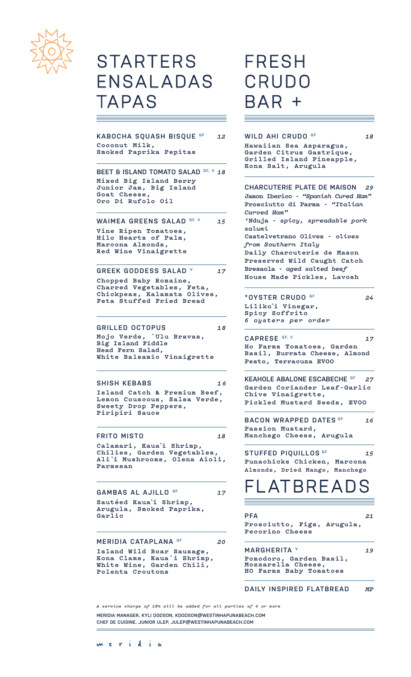

### **STARTERS** ENSALADAS TAPAS

**KABOCHA SQUASH BISQUE GF** *12* **Coconut Milk, Smoked Paprika Pepitas**

**BEET & ISLAND TOMATO SALAD GF, V** *18* **Mixed Big Island Berry Junior Jam, Big Island Goat Cheese, Oro Di Rufolo Oil**

WAIMEA GREENS SALAD GF, V 15 **Vine Ripen Tomatoes, Hilo Hearts of Palm, Marcona Almonds, Red Wine Vinaigrette**

**GREEK GODDESS SALAD V** *17* **Chopped Baby Romaine, Charred Vegetables, Feta, Chickpeas, Kalamata Olives, Feta Stuffed Fried Bread**

#### **GRILLED OCTOPUS** *18*

**Mojo Verde, `Ulu Bravas, Big Island Fiddle Head Fern Salad, White Balsamic Vinaigrette**

#### **SHISH KEBABS** *16*

**Island Catch & Premium Beef, Lemon Couscous, Salsa Verde, Sweety Drop Peppers, Piripiri Sauce**

**FRITO MISTO** *18*

**Calamari, Kaua`i Shrimp, Chilies, Garden Vegetables, Ali`i Mushrooms, Olena Aioli, Parmesan**

GAMBAS AL AJILLO<sup>GF</sup> 17 **Sautéed Kaua`i Shrimp, Arugula, Smoked Paprika, Garlic**

#### **MERIDIA CATAPLANA GF** *20*

**Island Wild Boar Sausage, Kona Clams, Kaua`i Shrimp, White Wine, Garden Chili, Polenta Croutons**

### FRESH CRUDO  $AR$

#### **WILD AHI CRUDO GF** *18*

**Hawaiian Sea Asparagus, Garden Citrus Gastrique, Grilled Island Pineapple, Kona Salt, Arugula**

| CHARCUTERIE PLATE DE MAISON 29<br>Jamon Iberico - "Spanish Cured Ham"<br>Prosciutto di Parma - "Italian<br>Carved Ham"<br>'Nduja - spicy, spreadable pork<br>salumi<br>Castelvetrano Olives - olives<br>from Southern Italy<br>Daily Charcuterie de Mason<br>Preserved Wild Caught Catch<br>Bresaola - aged salted beef<br>House Made Pickles, Lavosh |    |
|-------------------------------------------------------------------------------------------------------------------------------------------------------------------------------------------------------------------------------------------------------------------------------------------------------------------------------------------------------|----|
| *OYSTER CRUDO <sup>GF</sup><br>Liliko'i Vinegar,<br>Spicy Soffrito<br>6 oysters per order                                                                                                                                                                                                                                                             | 24 |
| CAPRESE GF, V<br>Ho Farms Tomatoes, Garden<br>Basil, Burrata Cheese, Almond<br>Pesto, Terracuza EV00                                                                                                                                                                                                                                                  | 17 |

**KEAHOLE ABALONE ESCABECHE GF** *27* **Garden Coriander Leaf-Garlic Chive Vinaigrette, Pickled Mustard Seeds, EVOO**

**BACON WRAPPED DATES GF** *16* **Passion Mustard, Manchego Cheese, Arugula**

**STUFFED PIQUILLOS GF** *15* **Punachicks Chicken, Marcona Almonds, Dried Mango, Manchego** 

### $\mathsf{ATBRE}\mathsf{A}$

**PFA** *21* **Prosciutto, Figs, Arugula, Pecorino Cheese** 

 $\equiv$ 

**MARGHERITA V** *19* **Pomodoro, Garden Basil, Mozzarella Cheese, HO Farms Baby Tomatoes** 

#### **DAILY INSPIRED FLATBREAD** *MP*

*A service charge of 18% will be added for all parties of 6 or more*

**MERIDIA MANAGER, KYLI DODSON, KDODSON@WESTINHAPUNABEACH.COM CHEF DE CUISINE, JUNIOR ULEP, JULEP@WESTINHAPUNABEACH.COM**